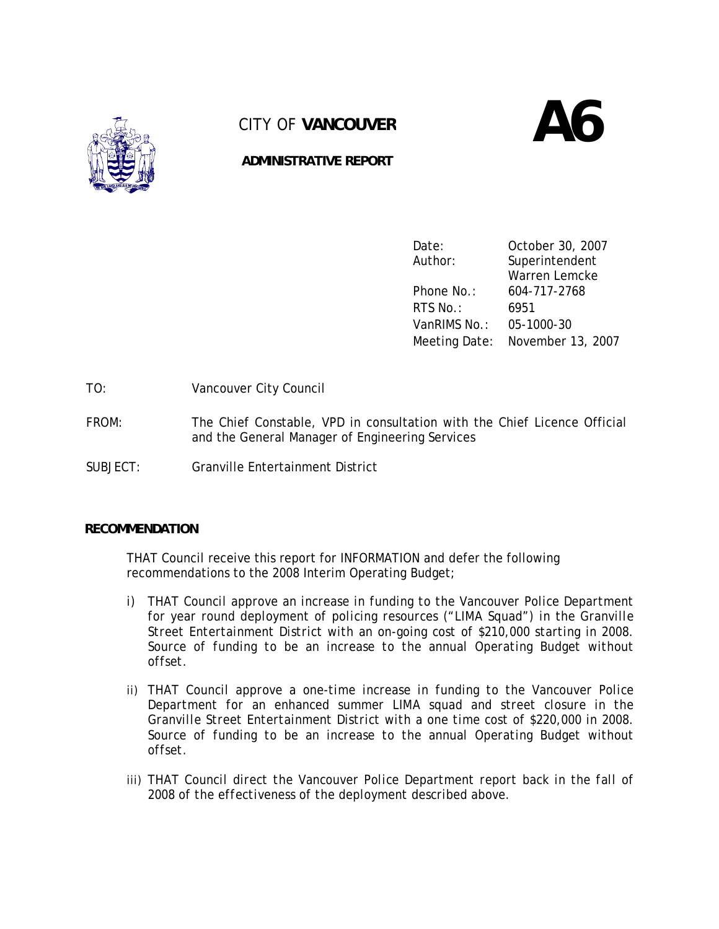

# CITY OF **VANCOUVER**





Date: October 30, 2007 Author: Superintendent Warren Lemcke Phone No.: 604-717-2768 RTS No.: 6951 VanRIMS No.: 05-1000-30 Meeting Date: November 13, 2007

TO: Vancouver City Council

- FROM: The Chief Constable, VPD in consultation with the Chief Licence Official and the General Manager of Engineering Services
- SUBJECT: Granville Entertainment District

### **RECOMMENDATION**

THAT Council receive this report for INFORMATION and defer the following recommendations to the 2008 Interim Operating Budget;

- *i) THAT Council approve an increase in funding to the Vancouver Police Department for year round deployment of policing resources ("LIMA Squad") in the Granville Street Entertainment District with an on-going cost of \$210,000 starting in 2008. Source of funding to be an increase to the annual Operating Budget without offset.*
- *ii) THAT Council approve a one-time increase in funding to the Vancouver Police Department for an enhanced summer LIMA squad and street closure in the Granville Street Entertainment District with a one time cost of \$220,000 in 2008. Source of funding to be an increase to the annual Operating Budget without offset.*
- iii) THAT Council direct the Vancouver Police Department report back in the fall of *2008 of the effectiveness of the deployment described above.*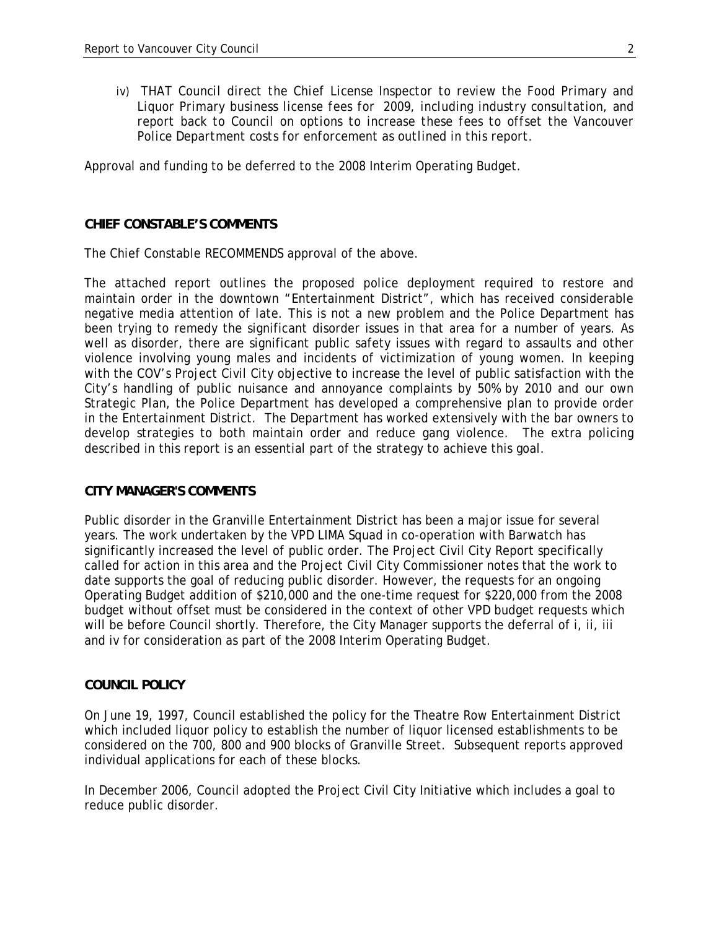*iv)* THAT Council direct the Chief License Inspector to review the Food Primary and *Liquor Primary business license fees for 2009, including industry consultation, and report back to Council on options to increase these fees to offset the Vancouver Police Department costs for enforcement as outlined in this report.* 

Approval and funding to be deferred to the 2008 Interim Operating Budget.

#### **CHIEF CONSTABLE'S COMMENTS**

The Chief Constable RECOMMENDS approval of the above.

The attached report outlines the proposed police deployment required to restore and maintain order in the downtown "Entertainment District", which has received considerable negative media attention of late. This is not a new problem and the Police Department has been trying to remedy the significant disorder issues in that area for a number of years. As well as disorder, there are significant public safety issues with regard to assaults and other violence involving young males and incidents of victimization of young women. In keeping with the COV's Project Civil City objective to increase the level of public satisfaction with the City's handling of public nuisance and annoyance complaints by 50% by 2010 and our own Strategic Plan, the Police Department has developed a comprehensive plan to provide order in the Entertainment District. The Department has worked extensively with the bar owners to develop strategies to both maintain order and reduce gang violence. The extra policing described in this report is an essential part of the strategy to achieve this goal.

#### **CITY MANAGER'S COMMENTS**

Public disorder in the Granville Entertainment District has been a major issue for several years. The work undertaken by the VPD LIMA Squad in co-operation with Barwatch has significantly increased the level of public order. The Project Civil City Report specifically called for action in this area and the Project Civil City Commissioner notes that the work to date supports the goal of reducing public disorder. However, the requests for an ongoing Operating Budget addition of \$210,000 and the one-time request for \$220,000 from the 2008 budget without offset must be considered in the context of other VPD budget requests which will be before Council shortly. Therefore, the City Manager supports the deferral of i, ii, iii and iv for consideration as part of the 2008 Interim Operating Budget.

#### **COUNCIL POLICY**

On June 19, 1997, Council established the policy for the Theatre Row Entertainment District which included liquor policy to establish the number of liquor licensed establishments to be considered on the 700, 800 and 900 blocks of Granville Street. Subsequent reports approved individual applications for each of these blocks.

In December 2006, Council adopted the Project Civil City Initiative which includes a goal to reduce public disorder.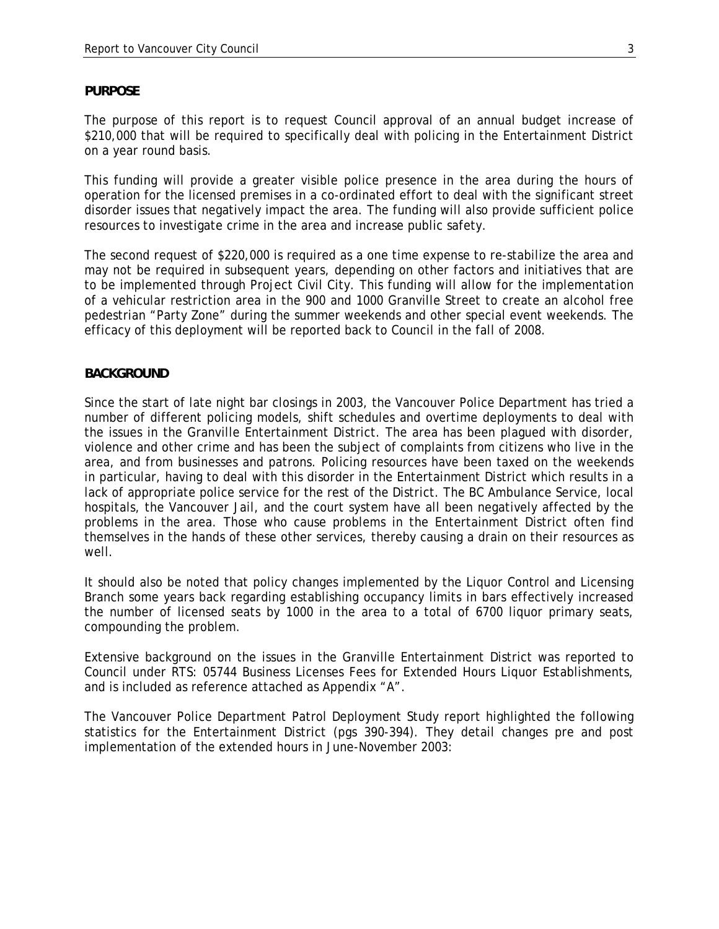#### **PURPOSE**

The purpose of this report is to request Council approval of an annual budget increase of \$210,000 that will be required to specifically deal with policing in the Entertainment District on a year round basis.

This funding will provide a greater visible police presence in the area during the hours of operation for the licensed premises in a co-ordinated effort to deal with the significant street disorder issues that negatively impact the area. The funding will also provide sufficient police resources to investigate crime in the area and increase public safety.

The second request of \$220,000 is required as a one time expense to re-stabilize the area and may not be required in subsequent years, depending on other factors and initiatives that are to be implemented through Project Civil City. This funding will allow for the implementation of a vehicular restriction area in the 900 and 1000 Granville Street to create an alcohol free pedestrian "Party Zone" during the summer weekends and other special event weekends. The efficacy of this deployment will be reported back to Council in the fall of 2008.

### **BACKGROUND**

Since the start of late night bar closings in 2003, the Vancouver Police Department has tried a number of different policing models, shift schedules and overtime deployments to deal with the issues in the Granville Entertainment District. The area has been plagued with disorder, violence and other crime and has been the subject of complaints from citizens who live in the area, and from businesses and patrons. Policing resources have been taxed on the weekends in particular, having to deal with this disorder in the Entertainment District which results in a lack of appropriate police service for the rest of the District. The BC Ambulance Service, local hospitals, the Vancouver Jail, and the court system have all been negatively affected by the problems in the area. Those who cause problems in the Entertainment District often find themselves in the hands of these other services, thereby causing a drain on their resources as well.

It should also be noted that policy changes implemented by the Liquor Control and Licensing Branch some years back regarding establishing occupancy limits in bars effectively increased the number of licensed seats by 1000 in the area to a total of 6700 liquor primary seats, compounding the problem.

Extensive background on the issues in the Granville Entertainment District was reported to Council under RTS: 05744 Business Licenses Fees for Extended Hours Liquor Establishments, and is included as reference attached as Appendix "A".

The Vancouver Police Department Patrol Deployment Study report highlighted the following statistics for the Entertainment District (pgs 390-394). They detail changes pre and post implementation of the extended hours in June-November 2003: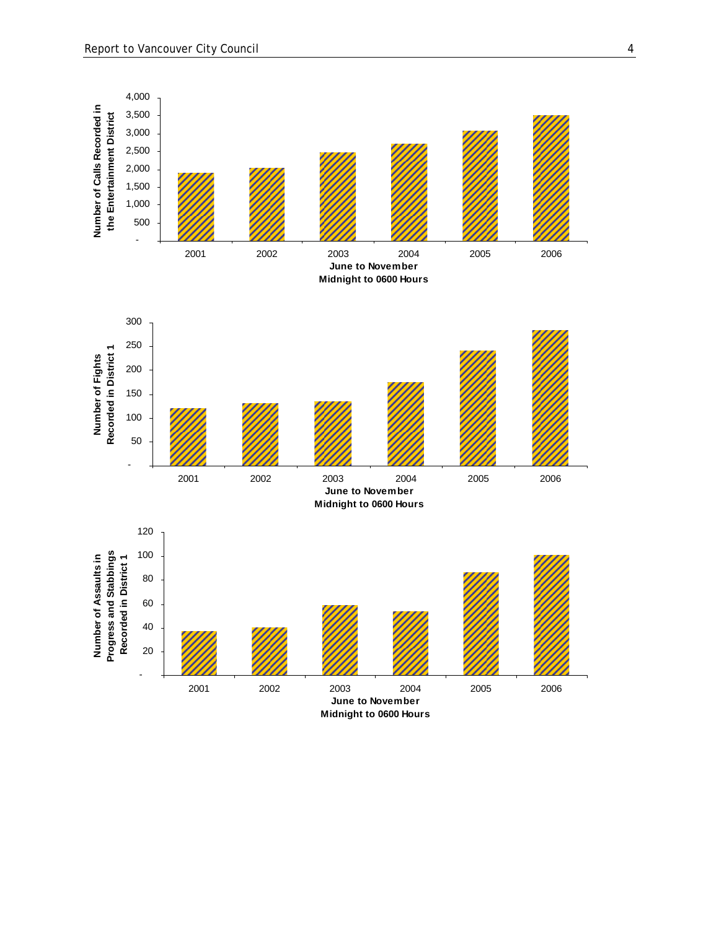

**Midnight to 0600 Hours**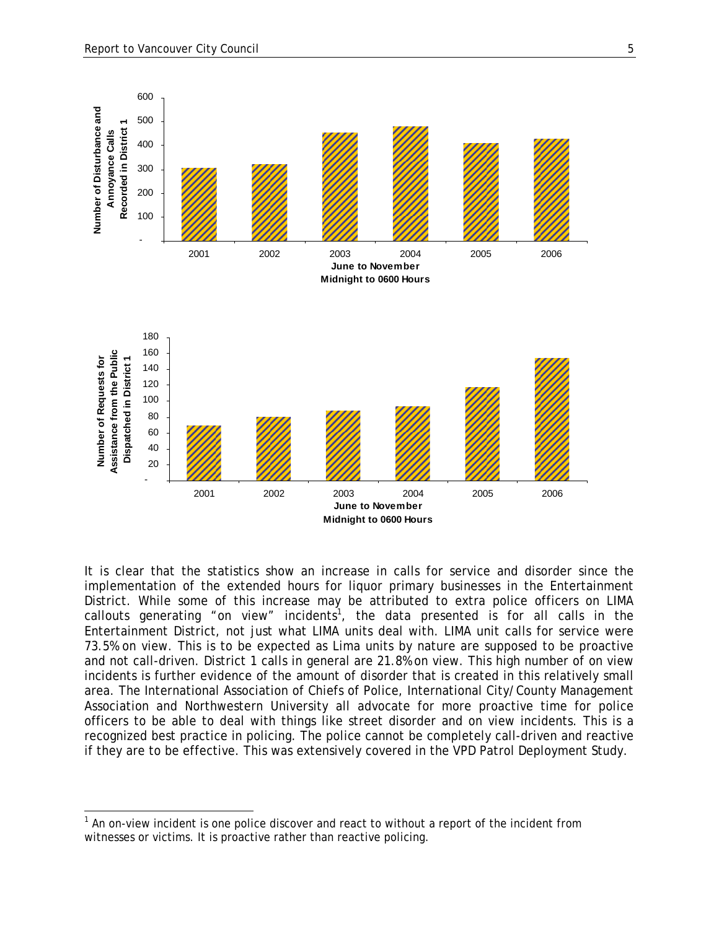-



It is clear that the statistics show an increase in calls for service and disorder since the implementation of the extended hours for liquor primary businesses in the Entertainment District. While some of this increase may be attributed to extra police officers on LIMA callouts generating "on view" incidents<sup>1</sup>, the data presented is for all calls in the Entertainment District, not just what LIMA units deal with. LIMA unit calls for service were 73.5% on view. This is to be expected as Lima units by nature are supposed to be proactive and not call-driven. District 1 calls in general are 21.8% on view. This high number of on view incidents is further evidence of the amount of disorder that is created in this relatively small area. The International Association of Chiefs of Police, International City/County Management Association and Northwestern University all advocate for more proactive time for police officers to be able to deal with things like street disorder and on view incidents. This is a recognized best practice in policing. The police cannot be completely call-driven and reactive if they are to be effective. This was extensively covered in the VPD Patrol Deployment Study.

 $1$  An on-view incident is one police discover and react to without a report of the incident from witnesses or victims. It is proactive rather than reactive policing.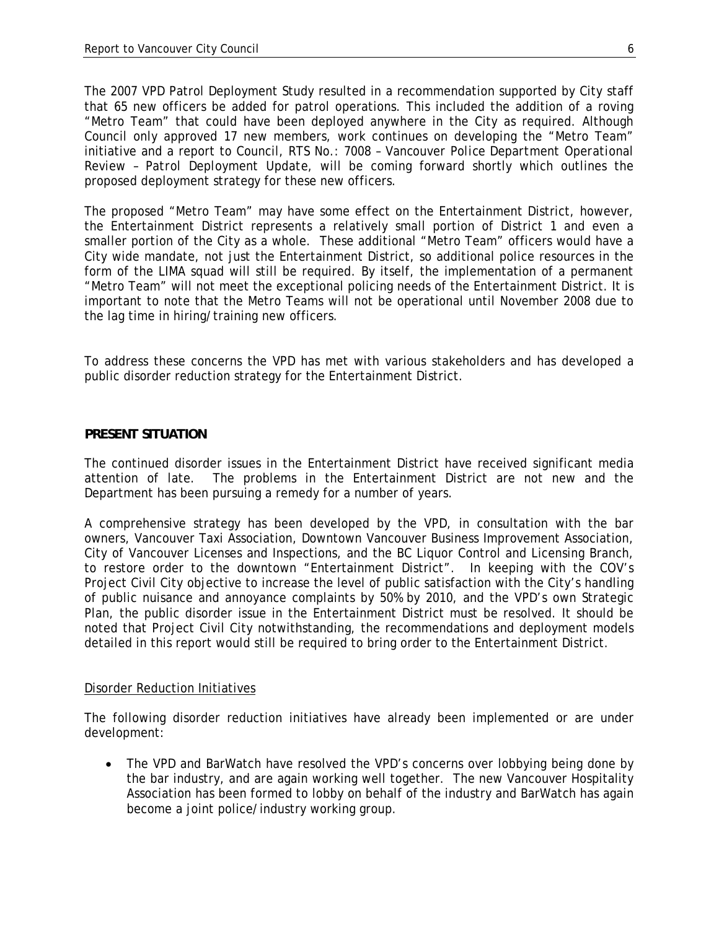The 2007 VPD Patrol Deployment Study resulted in a recommendation supported by City staff that 65 new officers be added for patrol operations. This included the addition of a roving "Metro Team" that could have been deployed anywhere in the City as required. Although Council only approved 17 new members, work continues on developing the "Metro Team" initiative and a report to Council, RTS No.: 7008 – *Vancouver Police Department Operational Review – Patrol Deployment Update,* will be coming forward shortly which outlines the proposed deployment strategy for these new officers.

The proposed "Metro Team" may have some effect on the Entertainment District, however, the Entertainment District represents a relatively small portion of District 1 and even a smaller portion of the City as a whole. These additional "Metro Team" officers would have a City wide mandate, not just the Entertainment District, so additional police resources in the form of the LIMA squad will still be required. By itself, the implementation of a permanent "Metro Team" will not meet the exceptional policing needs of the Entertainment District. It is important to note that the Metro Teams will not be operational until November 2008 due to the lag time in hiring/training new officers.

To address these concerns the VPD has met with various stakeholders and has developed a public disorder reduction strategy for the Entertainment District.

#### **PRESENT SITUATION**

The continued disorder issues in the Entertainment District have received significant media attention of late. The problems in the Entertainment District are not new and the Department has been pursuing a remedy for a number of years.

A comprehensive strategy has been developed by the VPD, in consultation with the bar owners, Vancouver Taxi Association, Downtown Vancouver Business Improvement Association, City of Vancouver Licenses and Inspections, and the BC Liquor Control and Licensing Branch, to restore order to the downtown "Entertainment District". In keeping with the COV's Project Civil City objective to increase the level of public satisfaction with the City's handling of public nuisance and annoyance complaints by 50% by 2010, and the VPD's own Strategic Plan, the public disorder issue in the Entertainment District must be resolved. It should be noted that Project Civil City notwithstanding, the recommendations and deployment models detailed in this report would still be required to bring order to the Entertainment District.

#### Disorder Reduction Initiatives

The following disorder reduction initiatives have already been implemented or are under development:

• The VPD and BarWatch have resolved the VPD's concerns over lobbying being done by the bar industry, and are again working well together. The new Vancouver Hospitality Association has been formed to lobby on behalf of the industry and BarWatch has again become a joint police/industry working group.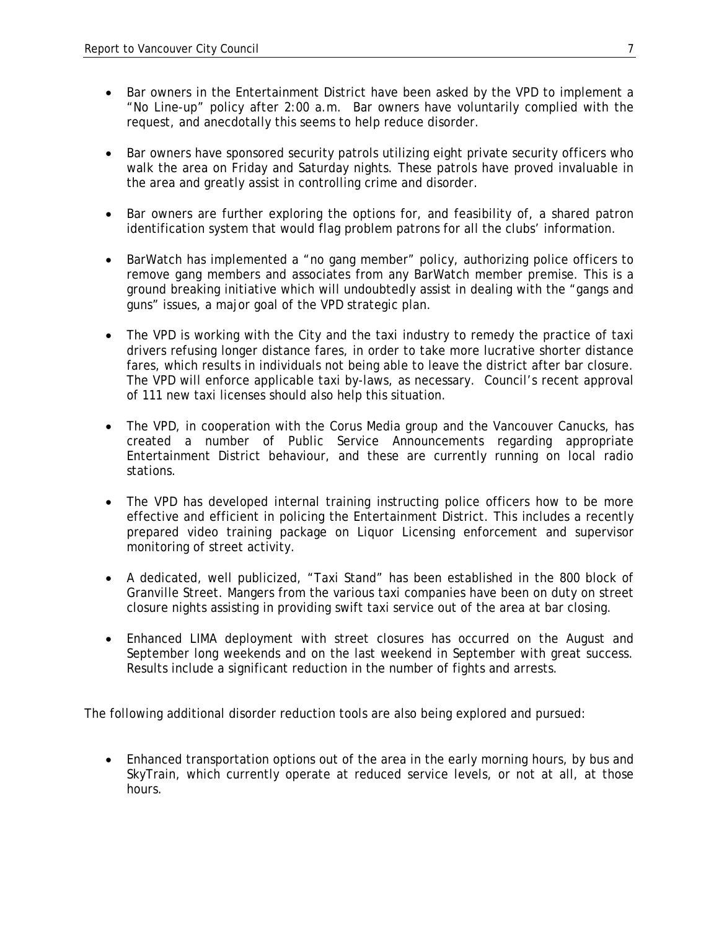- Bar owners in the Entertainment District have been asked by the VPD to implement a "No Line-up" policy after 2:00 a.m. Bar owners have voluntarily complied with the request, and anecdotally this seems to help reduce disorder.
- Bar owners have sponsored security patrols utilizing eight private security officers who walk the area on Friday and Saturday nights. These patrols have proved invaluable in the area and greatly assist in controlling crime and disorder.
- Bar owners are further exploring the options for, and feasibility of, a shared patron identification system that would flag problem patrons for all the clubs' information.
- BarWatch has implemented a "no gang member" policy, authorizing police officers to remove gang members and associates from any BarWatch member premise. This is a ground breaking initiative which will undoubtedly assist in dealing with the "gangs and guns" issues, a major goal of the VPD strategic plan.
- The VPD is working with the City and the taxi industry to remedy the practice of taxi drivers refusing longer distance fares, in order to take more lucrative shorter distance fares, which results in individuals not being able to leave the district after bar closure. The VPD will enforce applicable taxi by-laws, as necessary. Council's recent approval of 111 new taxi licenses should also help this situation.
- The VPD, in cooperation with the Corus Media group and the Vancouver Canucks, has created a number of Public Service Announcements regarding appropriate Entertainment District behaviour, and these are currently running on local radio stations.
- The VPD has developed internal training instructing police officers how to be more effective and efficient in policing the Entertainment District. This includes a recently prepared video training package on Liquor Licensing enforcement and supervisor monitoring of street activity.
- A dedicated, well publicized, "Taxi Stand" has been established in the 800 block of Granville Street. Mangers from the various taxi companies have been on duty on street closure nights assisting in providing swift taxi service out of the area at bar closing.
- Enhanced LIMA deployment with street closures has occurred on the August and September long weekends and on the last weekend in September with great success. Results include a significant reduction in the number of fights and arrests.

The following additional disorder reduction tools are also being explored and pursued:

• Enhanced transportation options out of the area in the early morning hours, by bus and SkyTrain, which currently operate at reduced service levels, or not at all, at those hours.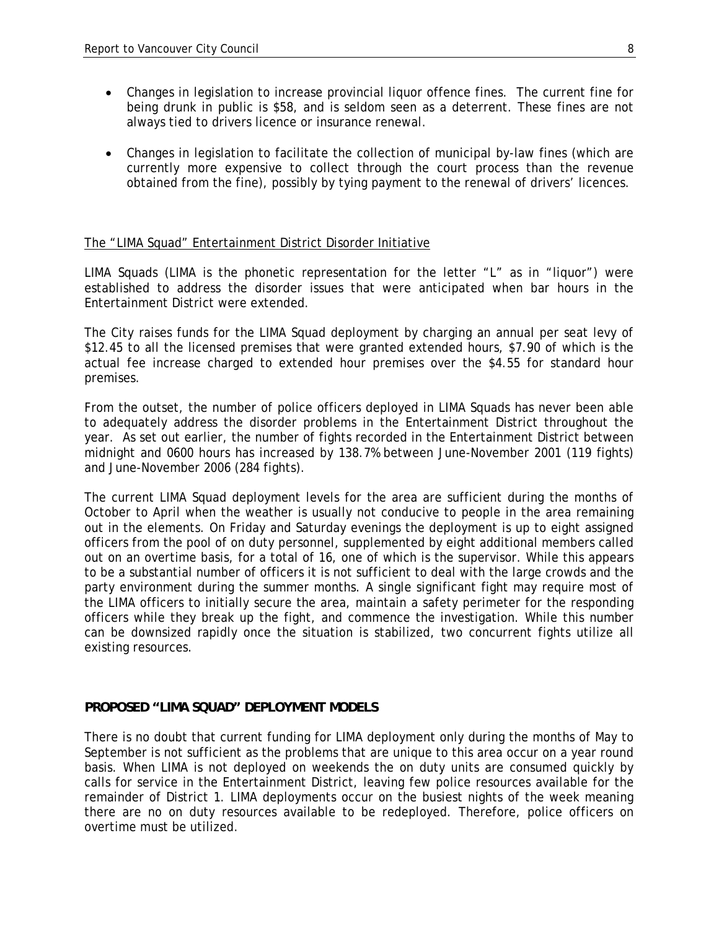- Changes in legislation to increase provincial liquor offence fines. The current fine for being drunk in public is \$58, and is seldom seen as a deterrent. These fines are not always tied to drivers licence or insurance renewal.
- Changes in legislation to facilitate the collection of municipal by-law fines (which are currently more expensive to collect through the court process than the revenue obtained from the fine), possibly by tying payment to the renewal of drivers' licences.

### The "LIMA Squad" Entertainment District Disorder Initiative

LIMA Squads (LIMA is the phonetic representation for the letter "L" as in "liquor") were established to address the disorder issues that were anticipated when bar hours in the Entertainment District were extended.

The City raises funds for the LIMA Squad deployment by charging an annual per seat levy of \$12.45 to all the licensed premises that were granted extended hours, \$7.90 of which is the actual fee increase charged to extended hour premises over the \$4.55 for standard hour premises.

From the outset, the number of police officers deployed in LIMA Squads has never been able to adequately address the disorder problems in the Entertainment District throughout the year. As set out earlier, the number of fights recorded in the Entertainment District between midnight and 0600 hours has increased by 138.7% between June-November 2001 (119 fights) and June-November 2006 (284 fights).

The current LIMA Squad deployment levels for the area are sufficient during the months of October to April when the weather is usually not conducive to people in the area remaining out in the elements. On Friday and Saturday evenings the deployment is up to eight assigned officers from the pool of on duty personnel, supplemented by eight additional members called out on an overtime basis, for a total of 16, one of which is the supervisor. While this appears to be a substantial number of officers it is not sufficient to deal with the large crowds and the party environment during the summer months. A single significant fight may require most of the LIMA officers to initially secure the area, maintain a safety perimeter for the responding officers while they break up the fight, and commence the investigation. While this number can be downsized rapidly once the situation is stabilized, two concurrent fights utilize all existing resources.

### **PROPOSED "LIMA SQUAD" DEPLOYMENT MODELS**

There is no doubt that current funding for LIMA deployment only during the months of May to September is not sufficient as the problems that are unique to this area occur on a year round basis. When LIMA is not deployed on weekends the on duty units are consumed quickly by calls for service in the Entertainment District, leaving few police resources available for the remainder of District 1. LIMA deployments occur on the busiest nights of the week meaning there are no on duty resources available to be redeployed. Therefore, police officers on overtime must be utilized.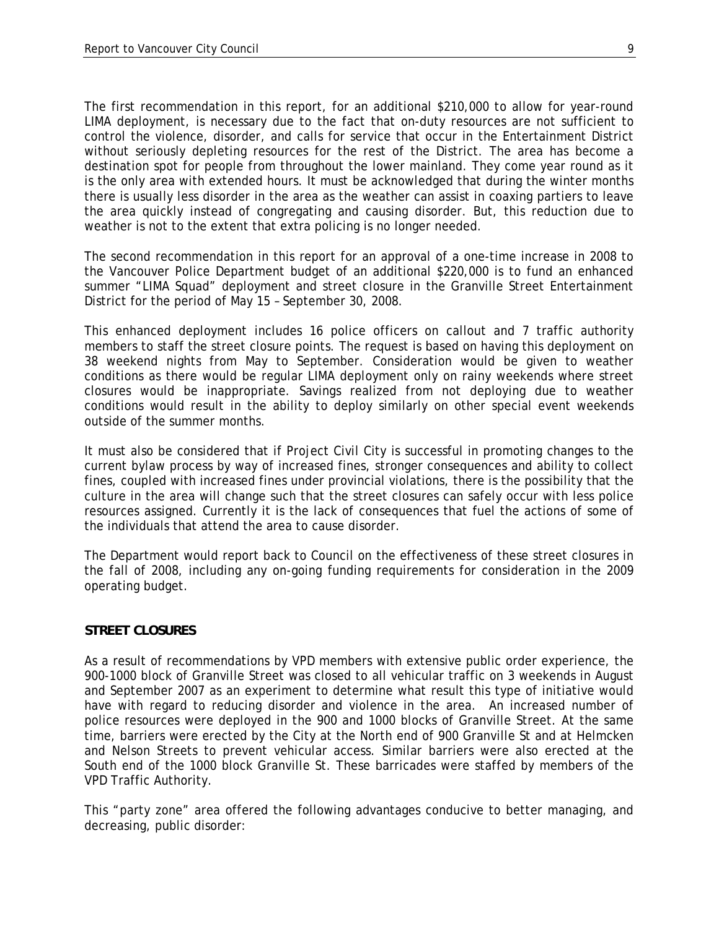The first recommendation in this report, for an additional \$210,000 to allow for year-round LIMA deployment, is necessary due to the fact that on-duty resources are not sufficient to control the violence, disorder, and calls for service that occur in the Entertainment District without seriously depleting resources for the rest of the District. The area has become a destination spot for people from throughout the lower mainland. They come year round as it is the only area with extended hours. It must be acknowledged that during the winter months there is usually less disorder in the area as the weather can assist in coaxing partiers to leave the area quickly instead of congregating and causing disorder. But, this reduction due to weather is not to the extent that extra policing is no longer needed.

The second recommendation in this report for an approval of a one-time increase in 2008 to the Vancouver Police Department budget of an additional \$220,000 is to fund an enhanced summer "LIMA Squad" deployment and street closure in the Granville Street Entertainment District for the period of May 15 – September 30, 2008.

This enhanced deployment includes 16 police officers on callout and 7 traffic authority members to staff the street closure points. The request is based on having this deployment on 38 weekend nights from May to September. Consideration would be given to weather conditions as there would be regular LIMA deployment only on rainy weekends where street closures would be inappropriate. Savings realized from not deploying due to weather conditions would result in the ability to deploy similarly on other special event weekends outside of the summer months.

It must also be considered that if Project Civil City is successful in promoting changes to the current bylaw process by way of increased fines, stronger consequences and ability to collect fines, coupled with increased fines under provincial violations, there is the possibility that the culture in the area will change such that the street closures can safely occur with less police resources assigned. Currently it is the lack of consequences that fuel the actions of some of the individuals that attend the area to cause disorder.

The Department would report back to Council on the effectiveness of these street closures in the fall of 2008, including any on-going funding requirements for consideration in the 2009 operating budget.

#### **STREET CLOSURES**

As a result of recommendations by VPD members with extensive public order experience, the 900-1000 block of Granville Street was closed to all vehicular traffic on 3 weekends in August and September 2007 as an experiment to determine what result this type of initiative would have with regard to reducing disorder and violence in the area. An increased number of police resources were deployed in the 900 and 1000 blocks of Granville Street. At the same time, barriers were erected by the City at the North end of 900 Granville St and at Helmcken and Nelson Streets to prevent vehicular access. Similar barriers were also erected at the South end of the 1000 block Granville St. These barricades were staffed by members of the VPD Traffic Authority.

This "party zone" area offered the following advantages conducive to better managing, and decreasing, public disorder: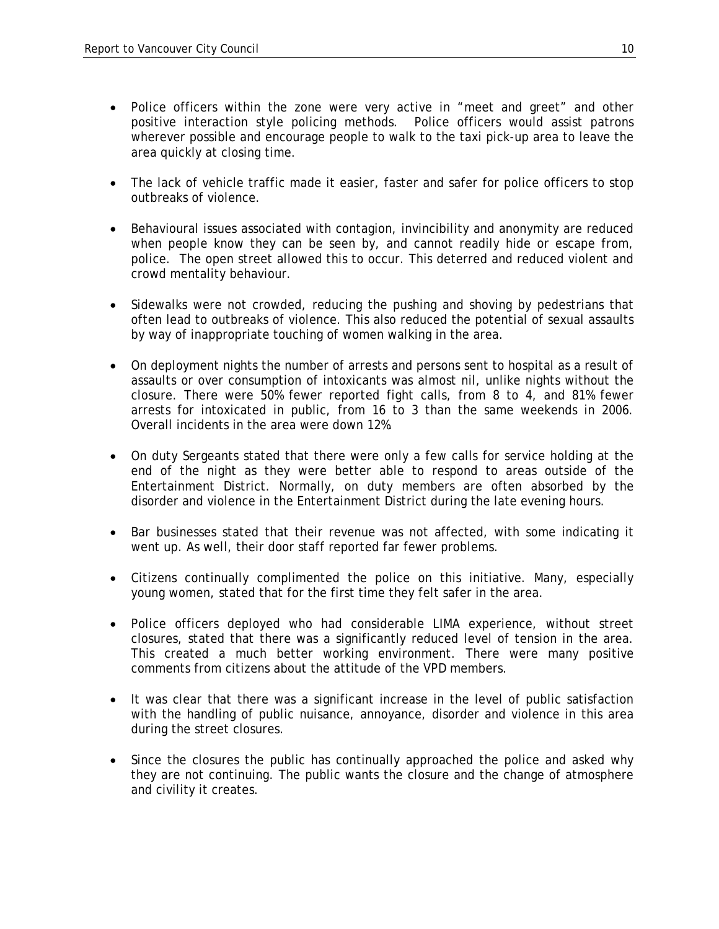- Police officers within the zone were very active in "meet and greet" and other positive interaction style policing methods. Police officers would assist patrons wherever possible and encourage people to walk to the taxi pick-up area to leave the area quickly at closing time.
- The lack of vehicle traffic made it easier, faster and safer for police officers to stop outbreaks of violence.
- Behavioural issues associated with contagion, invincibility and anonymity are reduced when people know they can be seen by, and cannot readily hide or escape from, police. The open street allowed this to occur. This deterred and reduced violent and crowd mentality behaviour.
- Sidewalks were not crowded, reducing the pushing and shoving by pedestrians that often lead to outbreaks of violence. This also reduced the potential of sexual assaults by way of inappropriate touching of women walking in the area.
- On deployment nights the number of arrests and persons sent to hospital as a result of assaults or over consumption of intoxicants was almost nil, unlike nights without the closure. There were 50% fewer reported fight calls, from 8 to 4, and 81% fewer arrests for intoxicated in public, from 16 to 3 than the same weekends in 2006. Overall incidents in the area were down 12%.
- On duty Sergeants stated that there were only a few calls for service holding at the end of the night as they were better able to respond to areas outside of the Entertainment District. Normally, on duty members are often absorbed by the disorder and violence in the Entertainment District during the late evening hours.
- Bar businesses stated that their revenue was not affected, with some indicating it went up. As well, their door staff reported far fewer problems.
- Citizens continually complimented the police on this initiative. Many, especially young women, stated that for the first time they felt safer in the area.
- Police officers deployed who had considerable LIMA experience, without street closures, stated that there was a significantly reduced level of tension in the area. This created a much better working environment. There were many positive comments from citizens about the attitude of the VPD members.
- It was clear that there was a significant increase in the level of public satisfaction with the handling of public nuisance, annoyance, disorder and violence in this area during the street closures.
- Since the closures the public has continually approached the police and asked why they are not continuing. The public wants the closure and the change of atmosphere and civility it creates.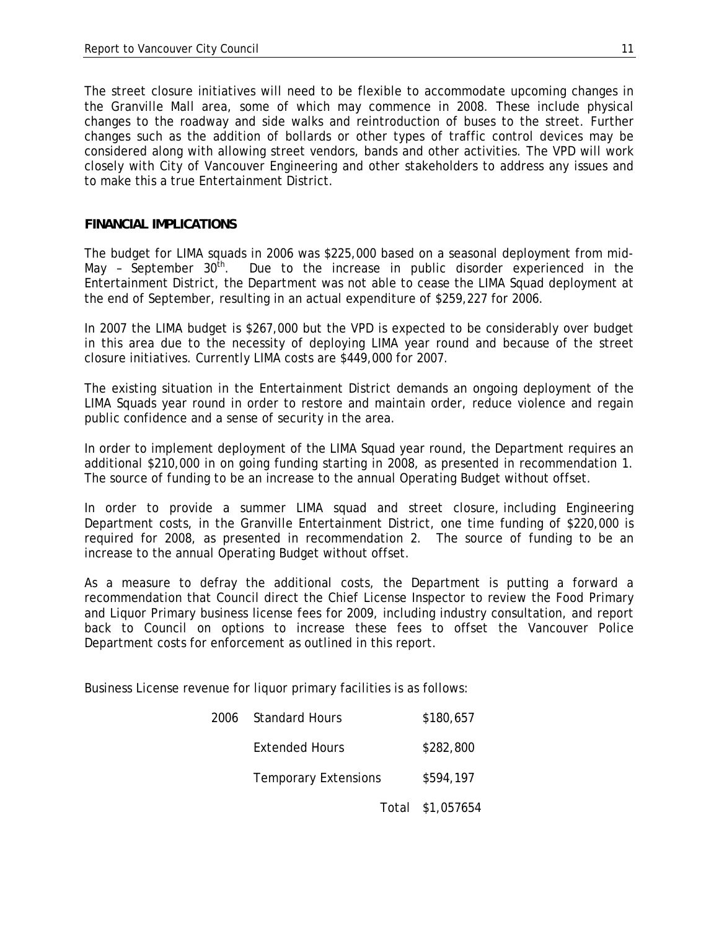The street closure initiatives will need to be flexible to accommodate upcoming changes in the Granville Mall area, some of which may commence in 2008. These include physical changes to the roadway and side walks and reintroduction of buses to the street. Further changes such as the addition of bollards or other types of traffic control devices may be considered along with allowing street vendors, bands and other activities. The VPD will work closely with City of Vancouver Engineering and other stakeholders to address any issues and to make this a true Entertainment District.

#### **FINANCIAL IMPLICATIONS**

The budget for LIMA squads in 2006 was \$225,000 based on a seasonal deployment from mid-May - September  $30<sup>th</sup>$ . Due to the increase in public disorder experienced in the Entertainment District, the Department was not able to cease the LIMA Squad deployment at the end of September, resulting in an actual expenditure of \$259,227 for 2006.

In 2007 the LIMA budget is \$267,000 but the VPD is expected to be considerably over budget in this area due to the necessity of deploying LIMA year round and because of the street closure initiatives. Currently LIMA costs are \$449,000 for 2007.

The existing situation in the Entertainment District demands an ongoing deployment of the LIMA Squads year round in order to restore and maintain order, reduce violence and regain public confidence and a sense of security in the area.

In order to implement deployment of the LIMA Squad year round, the Department requires an additional \$210,000 in on going funding starting in 2008, as presented in recommendation 1. The source of funding to be an increase to the annual Operating Budget without offset.

In order to provide a summer LIMA squad and street closure, including Engineering Department costs, in the Granville Entertainment District, one time funding of \$220,000 is required for 2008, as presented in recommendation 2. The source of funding to be an increase to the annual Operating Budget without offset.

As a measure to defray the additional costs, the Department is putting a forward a recommendation that Council direct the Chief License Inspector to review the Food Primary and Liquor Primary business license fees for 2009, including industry consultation, and report back to Council on options to increase these fees to offset the Vancouver Police Department costs for enforcement as outlined in this report.

Business License revenue for liquor primary facilities is as follows:

| 2006 | <b>Standard Hours</b>       | \$180,657        |
|------|-----------------------------|------------------|
|      | Extended Hours              | \$282,800        |
|      | <b>Temporary Extensions</b> | \$594,197        |
|      |                             | Total \$1,057654 |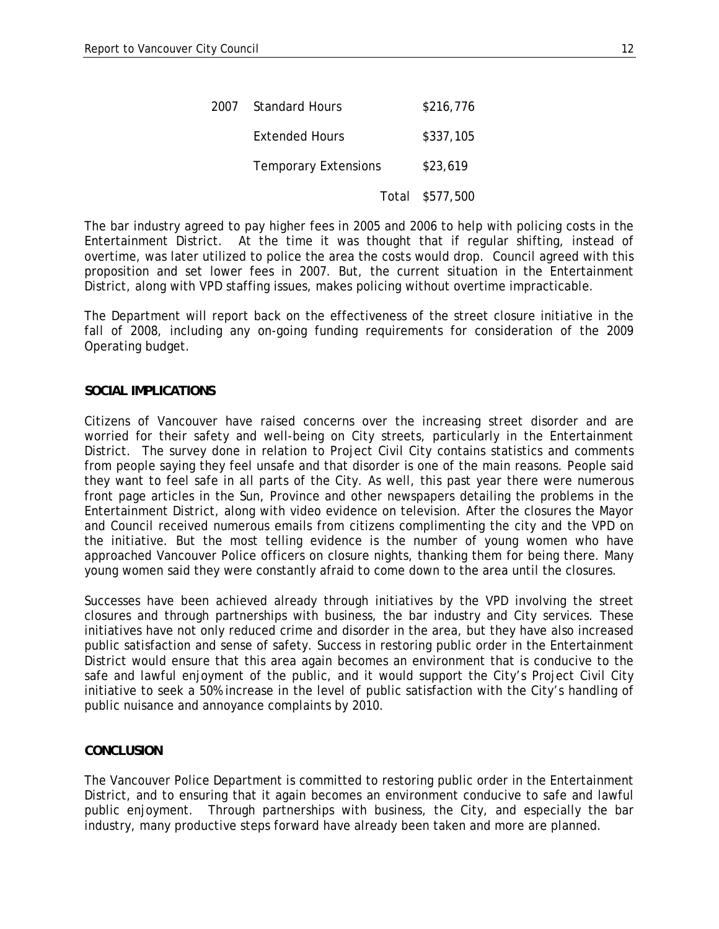| 2007 - | <b>Standard Hours</b>       | \$216,776       |
|--------|-----------------------------|-----------------|
|        | Extended Hours              | \$337,105       |
|        | <b>Temporary Extensions</b> | \$23,619        |
|        |                             | Total \$577,500 |

The bar industry agreed to pay higher fees in 2005 and 2006 to help with policing costs in the Entertainment District. At the time it was thought that if regular shifting, instead of overtime, was later utilized to police the area the costs would drop. Council agreed with this proposition and set lower fees in 2007. But, the current situation in the Entertainment District, along with VPD staffing issues, makes policing without overtime impracticable.

The Department will report back on the effectiveness of the street closure initiative in the fall of 2008, including any on-going funding requirements for consideration of the 2009 Operating budget.

# **SOCIAL IMPLICATIONS**

Citizens of Vancouver have raised concerns over the increasing street disorder and are worried for their safety and well-being on City streets, particularly in the Entertainment District. The survey done in relation to Project Civil City contains statistics and comments from people saying they feel unsafe and that disorder is one of the main reasons. People said they want to feel safe in all parts of the City. As well, this past year there were numerous front page articles in the Sun, Province and other newspapers detailing the problems in the Entertainment District, along with video evidence on television. After the closures the Mayor and Council received numerous emails from citizens complimenting the city and the VPD on the initiative. But the most telling evidence is the number of young women who have approached Vancouver Police officers on closure nights, thanking them for being there. Many young women said they were constantly afraid to come down to the area until the closures.

Successes have been achieved already through initiatives by the VPD involving the street closures and through partnerships with business, the bar industry and City services. These initiatives have not only reduced crime and disorder in the area, but they have also increased public satisfaction and sense of safety. Success in restoring public order in the Entertainment District would ensure that this area again becomes an environment that is conducive to the safe and lawful enjoyment of the public, and it would support the City's Project Civil City initiative to seek a 50% increase in the level of public satisfaction with the City's handling of public nuisance and annoyance complaints by 2010.

### **CONCLUSION**

The Vancouver Police Department is committed to restoring public order in the Entertainment District, and to ensuring that it again becomes an environment conducive to safe and lawful public enjoyment. Through partnerships with business, the City, and especially the bar industry, many productive steps forward have already been taken and more are planned.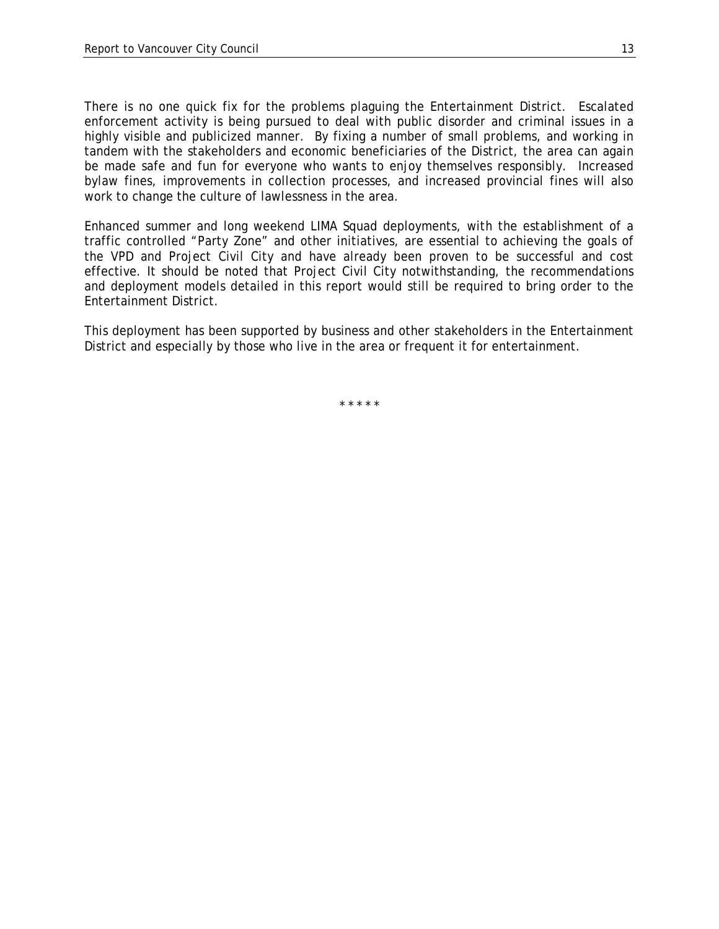There is no one quick fix for the problems plaguing the Entertainment District. Escalated enforcement activity is being pursued to deal with public disorder and criminal issues in a highly visible and publicized manner. By fixing a number of small problems, and working in tandem with the stakeholders and economic beneficiaries of the District, the area can again be made safe and fun for everyone who wants to enjoy themselves responsibly. Increased bylaw fines, improvements in collection processes, and increased provincial fines will also work to change the culture of lawlessness in the area.

Enhanced summer and long weekend LIMA Squad deployments, with the establishment of a traffic controlled "Party Zone" and other initiatives, are essential to achieving the goals of the VPD and Project Civil City and have already been proven to be successful and cost effective. It should be noted that Project Civil City notwithstanding, the recommendations and deployment models detailed in this report would still be required to bring order to the Entertainment District.

This deployment has been supported by business and other stakeholders in the Entertainment District and especially by those who live in the area or frequent it for entertainment.

\* \* \* \* \*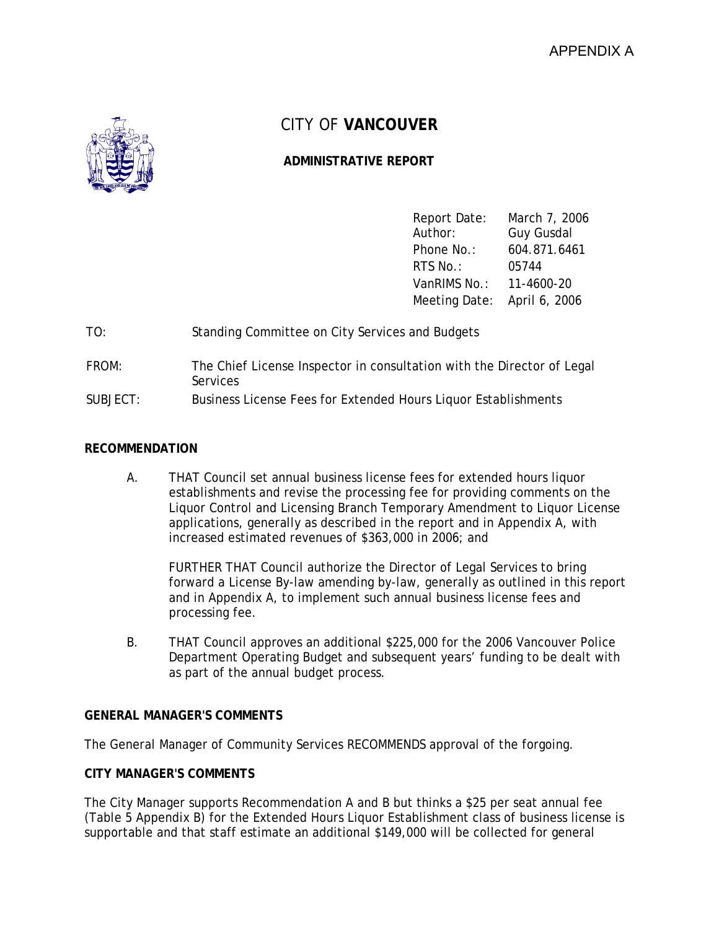

# CITY OF **VANCOUVER**

# **ADMINISTRATIVE REPORT**

| Report Date:                | March 7, 2006     |
|-----------------------------|-------------------|
| Author:                     | <b>Guy Gusdal</b> |
| Phone No.:                  | 604.871.6461      |
| RTS No.:                    | 05744             |
| VanRIMS No.: 11-4600-20     |                   |
| Meeting Date: April 6, 2006 |                   |

- TO: Standing Committee on City Services and Budgets
- FROM: The Chief License Inspector in consultation with the Director of Legal Services
- SUBJECT: Business License Fees for Extended Hours Liquor Establishments

# **RECOMMENDATION**

A. THAT Council set annual business license fees for extended hours liquor establishments and revise the processing fee for providing comments on the Liquor Control and Licensing Branch Temporary Amendment to Liquor License applications, generally as described in the report and in Appendix A, with increased estimated revenues of \$363,000 in 2006; and

FURTHER THAT Council authorize the Director of Legal Services to bring forward a License By-law amending by-law, generally as outlined in this report and in Appendix A, to implement such annual business license fees and processing fee.

B. THAT Council approves an additional \$225,000 for the 2006 Vancouver Police Department Operating Budget and subsequent years' funding to be dealt with as part of the annual budget process.

# **GENERAL MANAGER'S COMMENTS**

The General Manager of Community Services RECOMMENDS approval of the forgoing.

# **CITY MANAGER'S COMMENTS**

The City Manager supports Recommendation A and B but thinks a \$25 per seat annual fee (Table 5 Appendix B) for the Extended Hours Liquor Establishment class of business license is supportable and that staff estimate an additional \$149,000 will be collected for general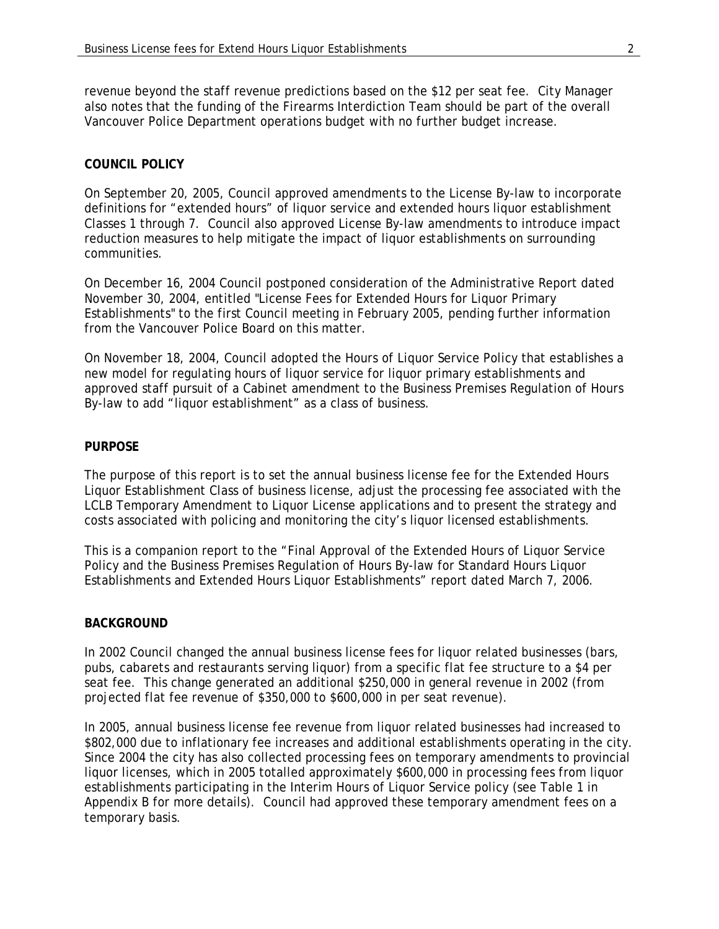revenue beyond the staff revenue predictions based on the \$12 per seat fee. City Manager also notes that the funding of the Firearms Interdiction Team should be part of the overall Vancouver Police Department operations budget with no further budget increase.

# **COUNCIL POLICY**

On September 20, 2005, Council approved amendments to the License By-law to incorporate definitions for "extended hours" of liquor service and extended hours liquor establishment Classes 1 through 7. Council also approved License By-law amendments to introduce impact reduction measures to help mitigate the impact of liquor establishments on surrounding communities.

On December 16, 2004 Council postponed consideration of the Administrative Report dated November 30, 2004, entitled "License Fees for Extended Hours for Liquor Primary Establishments" to the first Council meeting in February 2005, pending further information from the Vancouver Police Board on this matter.

On November 18, 2004, Council adopted the Hours of Liquor Service Policy that establishes a new model for regulating hours of liquor service for liquor primary establishments and approved staff pursuit of a Cabinet amendment to the Business Premises Regulation of Hours By-law to add "liquor establishment" as a class of business.

### **PURPOSE**

The purpose of this report is to set the annual business license fee for the Extended Hours Liquor Establishment Class of business license, adjust the processing fee associated with the LCLB Temporary Amendment to Liquor License applications and to present the strategy and costs associated with policing and monitoring the city's liquor licensed establishments.

This is a companion report to the "Final Approval of the Extended Hours of Liquor Service Policy and the Business Premises Regulation of Hours By-law for Standard Hours Liquor Establishments and Extended Hours Liquor Establishments" report dated March 7, 2006.

### **BACKGROUND**

In 2002 Council changed the annual business license fees for liquor related businesses (bars, pubs, cabarets and restaurants serving liquor) from a specific flat fee structure to a \$4 per seat fee. This change generated an additional \$250,000 in general revenue in 2002 (from projected flat fee revenue of \$350,000 to \$600,000 in per seat revenue).

In 2005, annual business license fee revenue from liquor related businesses had increased to \$802,000 due to inflationary fee increases and additional establishments operating in the city. Since 2004 the city has also collected processing fees on temporary amendments to provincial liquor licenses, which in 2005 totalled approximately \$600,000 in processing fees from liquor establishments participating in the Interim Hours of Liquor Service policy (see Table 1 in Appendix B for more details). Council had approved these temporary amendment fees on a temporary basis.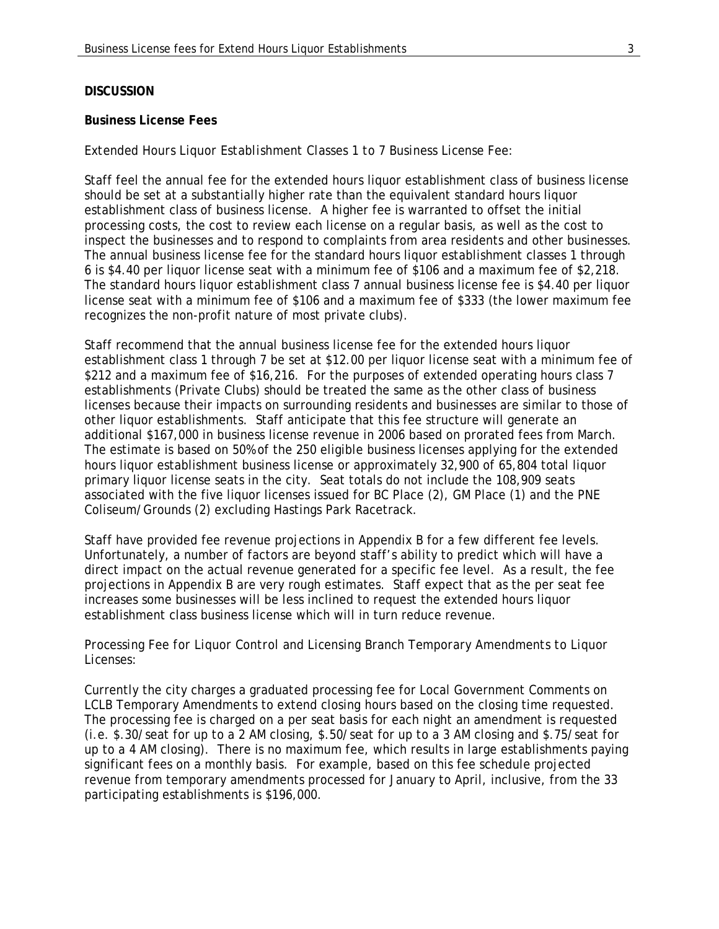#### **DISCUSSION**

#### **Business License Fees**

#### *Extended Hours Liquor Establishment Classes 1 to 7 Business License Fee:*

Staff feel the annual fee for the extended hours liquor establishment class of business license should be set at a substantially higher rate than the equivalent standard hours liquor establishment class of business license. A higher fee is warranted to offset the initial processing costs, the cost to review each license on a regular basis, as well as the cost to inspect the businesses and to respond to complaints from area residents and other businesses. The annual business license fee for the standard hours liquor establishment classes 1 through 6 is \$4.40 per liquor license seat with a minimum fee of \$106 and a maximum fee of \$2,218. The standard hours liquor establishment class 7 annual business license fee is \$4.40 per liquor license seat with a minimum fee of \$106 and a maximum fee of \$333 (the lower maximum fee recognizes the non-profit nature of most private clubs).

Staff recommend that the annual business license fee for the extended hours liquor establishment class 1 through 7 be set at \$12.00 per liquor license seat with a minimum fee of \$212 and a maximum fee of \$16,216. For the purposes of extended operating hours class 7 establishments (Private Clubs) should be treated the same as the other class of business licenses because their impacts on surrounding residents and businesses are similar to those of other liquor establishments. Staff anticipate that this fee structure will generate an additional \$167,000 in business license revenue in 2006 based on prorated fees from March. The estimate is based on 50% of the 250 eligible business licenses applying for the extended hours liquor establishment business license or approximately 32,900 of 65,804 total liquor primary liquor license seats in the city. Seat totals do not include the 108,909 seats associated with the five liquor licenses issued for BC Place (2), GM Place (1) and the PNE Coliseum/Grounds (2) excluding Hastings Park Racetrack.

Staff have provided fee revenue projections in Appendix B for a few different fee levels. Unfortunately, a number of factors are beyond staff's ability to predict which will have a direct impact on the actual revenue generated for a specific fee level. As a result, the fee projections in Appendix B are very rough estimates. Staff expect that as the per seat fee increases some businesses will be less inclined to request the extended hours liquor establishment class business license which will in turn reduce revenue.

### *Processing Fee for Liquor Control and Licensing Branch Temporary Amendments to Liquor Licenses:*

Currently the city charges a graduated processing fee for Local Government Comments on LCLB Temporary Amendments to extend closing hours based on the closing time requested. The processing fee is charged on a per seat basis for each night an amendment is requested (i.e. \$.30/seat for up to a 2 AM closing, \$.50/seat for up to a 3 AM closing and \$.75/seat for up to a 4 AM closing). There is no maximum fee, which results in large establishments paying significant fees on a monthly basis. For example, based on this fee schedule projected revenue from temporary amendments processed for January to April, inclusive, from the 33 participating establishments is \$196,000.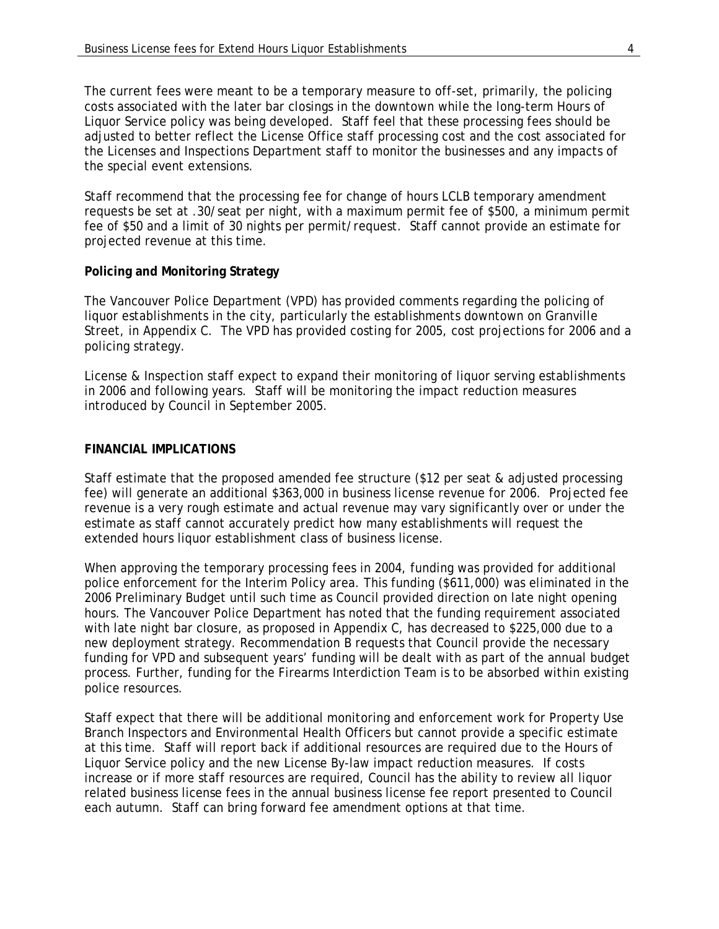The current fees were meant to be a temporary measure to off-set, primarily, the policing costs associated with the later bar closings in the downtown while the long-term Hours of Liquor Service policy was being developed. Staff feel that these processing fees should be adjusted to better reflect the License Office staff processing cost and the cost associated for the Licenses and Inspections Department staff to monitor the businesses and any impacts of the special event extensions.

Staff recommend that the processing fee for change of hours LCLB temporary amendment requests be set at .30/seat per night, with a maximum permit fee of \$500, a minimum permit fee of \$50 and a limit of 30 nights per permit/request. Staff cannot provide an estimate for projected revenue at this time.

# **Policing and Monitoring Strategy**

The Vancouver Police Department (VPD) has provided comments regarding the policing of liquor establishments in the city, particularly the establishments downtown on Granville Street, in Appendix C. The VPD has provided costing for 2005, cost projections for 2006 and a policing strategy.

License & Inspection staff expect to expand their monitoring of liquor serving establishments in 2006 and following years. Staff will be monitoring the impact reduction measures introduced by Council in September 2005.

# **FINANCIAL IMPLICATIONS**

Staff estimate that the proposed amended fee structure (\$12 per seat & adjusted processing fee) will generate an additional \$363,000 in business license revenue for 2006. Projected fee revenue is a very rough estimate and actual revenue may vary significantly over or under the estimate as staff cannot accurately predict how many establishments will request the extended hours liquor establishment class of business license.

When approving the temporary processing fees in 2004, funding was provided for additional police enforcement for the Interim Policy area. This funding (\$611,000) was eliminated in the 2006 Preliminary Budget until such time as Council provided direction on late night opening hours. The Vancouver Police Department has noted that the funding requirement associated with late night bar closure, as proposed in Appendix C, has decreased to \$225,000 due to a new deployment strategy. Recommendation B requests that Council provide the necessary funding for VPD and subsequent years' funding will be dealt with as part of the annual budget process. Further, funding for the Firearms Interdiction Team is to be absorbed within existing police resources.

Staff expect that there will be additional monitoring and enforcement work for Property Use Branch Inspectors and Environmental Health Officers but cannot provide a specific estimate at this time. Staff will report back if additional resources are required due to the Hours of Liquor Service policy and the new License By-law impact reduction measures. If costs increase or if more staff resources are required, Council has the ability to review all liquor related business license fees in the annual business license fee report presented to Council each autumn. Staff can bring forward fee amendment options at that time.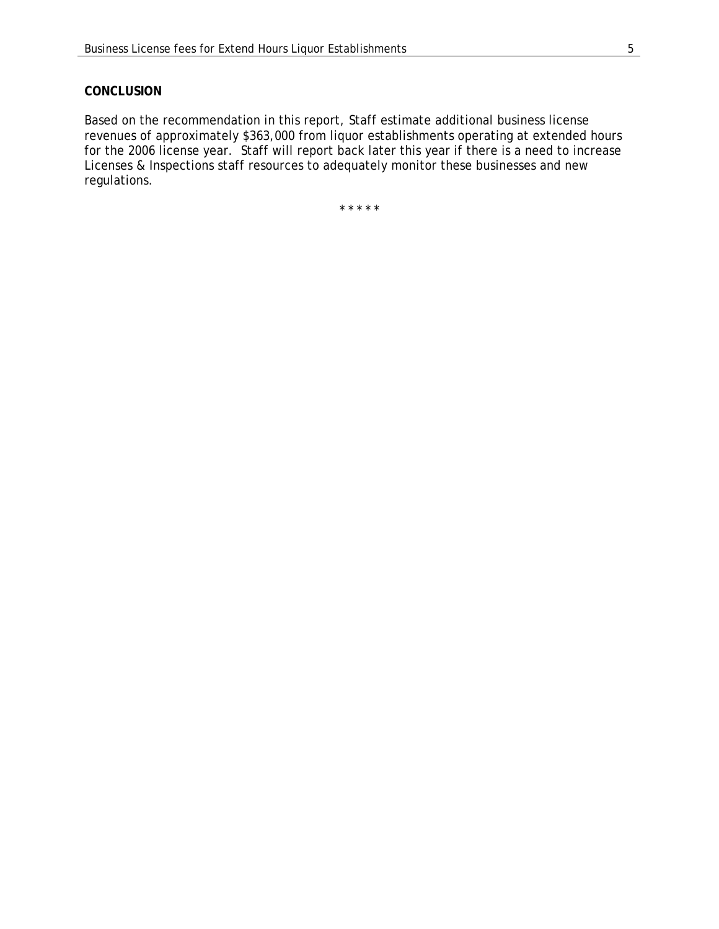### **CONCLUSION**

Based on the recommendation in this report, Staff estimate additional business license revenues of approximately \$363,000 from liquor establishments operating at extended hours for the 2006 license year. Staff will report back later this year if there is a need to increase Licenses & Inspections staff resources to adequately monitor these businesses and new regulations.

\* \* \* \* \*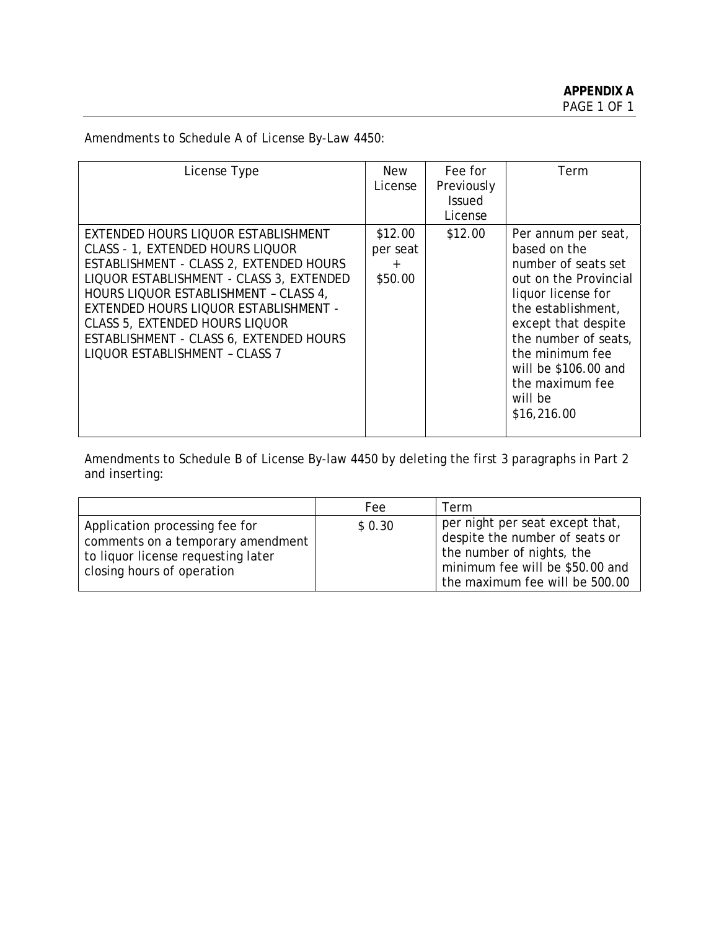Amendments to Schedule A of License By-Law 4450:

| License Type                                                                                                                                                                                                                                                                                                                                                                  | New<br>License                          | Fee for<br>Previously<br><b>Issued</b><br>License | Term                                                                                                                                                                                                                                                                   |
|-------------------------------------------------------------------------------------------------------------------------------------------------------------------------------------------------------------------------------------------------------------------------------------------------------------------------------------------------------------------------------|-----------------------------------------|---------------------------------------------------|------------------------------------------------------------------------------------------------------------------------------------------------------------------------------------------------------------------------------------------------------------------------|
| EXTENDED HOURS LIQUOR ESTABLISHMENT<br><b>CLASS - 1, EXTENDED HOURS LIQUOR</b><br>ESTABLISHMENT - CLASS 2, EXTENDED HOURS<br>LIQUOR ESTABLISHMENT - CLASS 3, EXTENDED<br>HOURS LIQUOR ESTABLISHMENT - CLASS 4,<br>EXTENDED HOURS LIQUOR ESTABLISHMENT -<br><b>CLASS 5, EXTENDED HOURS LIQUOR</b><br>ESTABLISHMENT - CLASS 6, EXTENDED HOURS<br>LIQUOR ESTABLISHMENT - CLASS 7 | \$12.00<br>per seat<br>$\pm$<br>\$50.00 | \$12.00                                           | Per annum per seat,<br>based on the<br>number of seats set<br>out on the Provincial<br>liquor license for<br>the establishment,<br>except that despite<br>the number of seats,<br>the minimum fee<br>will be \$106.00 and<br>the maximum fee<br>will be<br>\$16,216.00 |

Amendments to Schedule B of License By-law 4450 by deleting the first 3 paragraphs in Part 2 and inserting:

|                                                                                                                                         | Fee    | Term                                                                                                                                                                |
|-----------------------------------------------------------------------------------------------------------------------------------------|--------|---------------------------------------------------------------------------------------------------------------------------------------------------------------------|
| Application processing fee for<br>comments on a temporary amendment<br>to liquor license requesting later<br>closing hours of operation | \$0.30 | per night per seat except that,<br>despite the number of seats or<br>the number of nights, the<br>minimum fee will be \$50.00 and<br>the maximum fee will be 500.00 |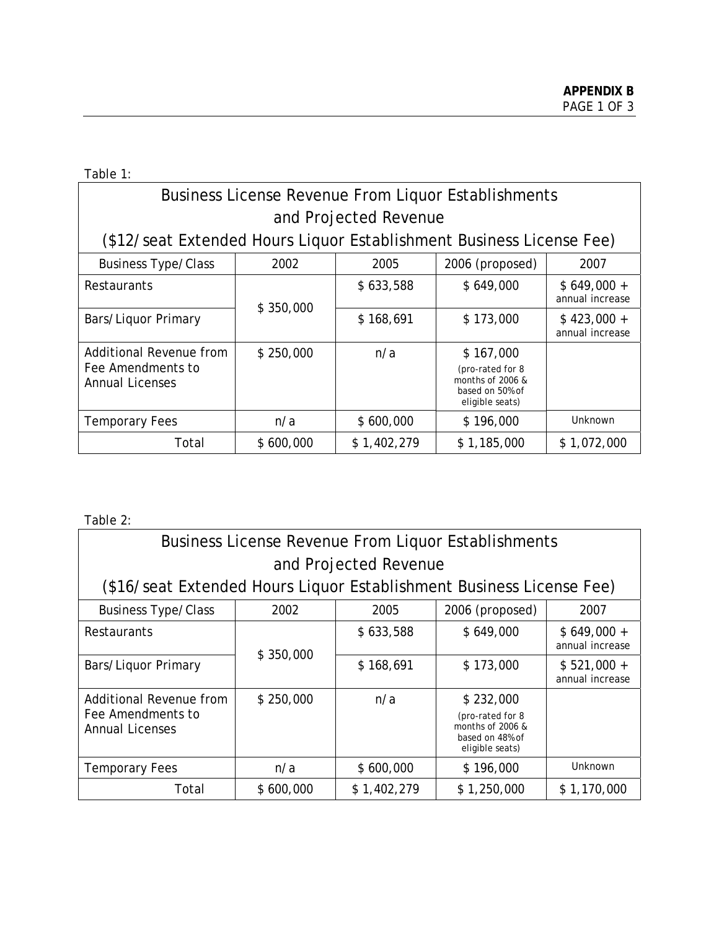Table 1:

# Business License Revenue From Liquor Establishments and Projected Revenue

(\$12/seat Extended Hours Liquor Establishment Business License Fee)

| <b>Business Type/Class</b>                                             | 2002      | 2005        | 2006 (proposed)                                                                           | 2007                            |
|------------------------------------------------------------------------|-----------|-------------|-------------------------------------------------------------------------------------------|---------------------------------|
| <b>Restaurants</b>                                                     | \$350,000 | \$633,588   | \$649,000                                                                                 | $$649,000 +$<br>annual increase |
| Bars/Liquor Primary                                                    |           | \$168,691   | \$173,000                                                                                 | $$423,000 +$<br>annual increase |
| Additional Revenue from<br>Fee Amendments to<br><b>Annual Licenses</b> | \$250,000 | n/a         | \$167,000<br>(pro-rated for 8<br>months of $2006$ &<br>based on 50% of<br>eligible seats) |                                 |
| <b>Temporary Fees</b>                                                  | n/a       | \$600,000   | \$196,000                                                                                 | Unknown                         |
| Total                                                                  | \$600,000 | \$1,402,279 | \$1,185,000                                                                               | \$1,072,000                     |

Table 2:

| <b>Business License Revenue From Liquor Establishments</b>             |           |                       |                                                                                         |                                 |
|------------------------------------------------------------------------|-----------|-----------------------|-----------------------------------------------------------------------------------------|---------------------------------|
|                                                                        |           | and Projected Revenue |                                                                                         |                                 |
| (\$16/seat Extended Hours Liquor Establishment Business License Fee)   |           |                       |                                                                                         |                                 |
| <b>Business Type/Class</b>                                             | 2002      | 2005                  | 2006 (proposed)                                                                         | 2007                            |
| <b>Restaurants</b>                                                     |           | \$633,588             | \$649,000                                                                               | $$649,000 +$<br>annual increase |
| Bars/Liquor Primary                                                    | \$350,000 | \$168,691             | \$173,000                                                                               | $$521,000 +$<br>annual increase |
| Additional Revenue from<br>Fee Amendments to<br><b>Annual Licenses</b> | \$250,000 | n/a                   | \$232,000<br>(pro-rated for 8<br>months of 2006 &<br>based on 48% of<br>eligible seats) |                                 |
| <b>Temporary Fees</b>                                                  | n/a       | \$600,000             | \$196,000                                                                               | <b>Unknown</b>                  |
| Total                                                                  | \$600,000 | \$1,402,279           | \$1,250,000                                                                             | \$1,170,000                     |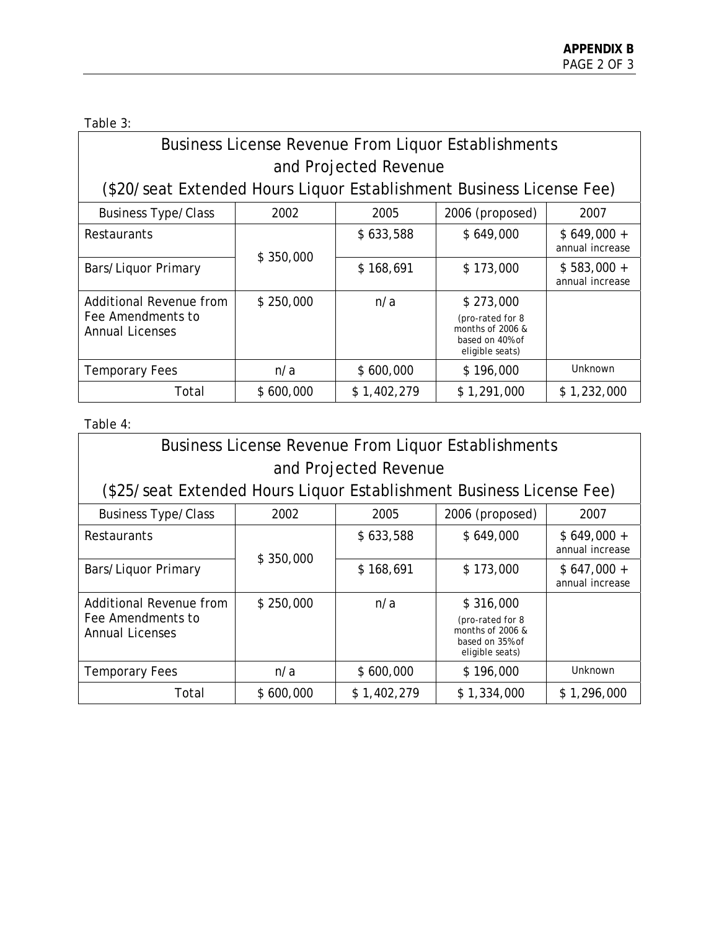Table 3:

| <b>Business License Revenue From Liquor Establishments</b>            |  |  |                                                                                                                                                                                                                                                                                                                                                                                                                                                             |  |  |
|-----------------------------------------------------------------------|--|--|-------------------------------------------------------------------------------------------------------------------------------------------------------------------------------------------------------------------------------------------------------------------------------------------------------------------------------------------------------------------------------------------------------------------------------------------------------------|--|--|
| and Projected Revenue                                                 |  |  |                                                                                                                                                                                                                                                                                                                                                                                                                                                             |  |  |
| (\$20/seat Extended Hours Liquor Establishment Business License Fee)  |  |  |                                                                                                                                                                                                                                                                                                                                                                                                                                                             |  |  |
| 2006 (proposed)<br><b>Business Type/Class</b><br>2002<br>2005<br>2007 |  |  |                                                                                                                                                                                                                                                                                                                                                                                                                                                             |  |  |
|                                                                       |  |  | $\lambda$ , $\lambda$ , $\lambda$ , $\lambda$ , $\lambda$ , $\lambda$ , $\lambda$ , $\lambda$ , $\lambda$ , $\lambda$ , $\lambda$ , $\lambda$ , $\lambda$ , $\lambda$ , $\lambda$ , $\lambda$ , $\lambda$ , $\lambda$ , $\lambda$ , $\lambda$ , $\lambda$ , $\lambda$ , $\lambda$ , $\lambda$ , $\lambda$ , $\lambda$ , $\lambda$ , $\lambda$ , $\lambda$ , $\lambda$ , $\lambda$ , $\lambda$ , $\lambda$ , $\lambda$ , $\lambda$ , $\lambda$ , $\lambda$ , |  |  |

| <b>Restaurants</b>                                                     | \$350,000 | \$633,588   | \$649,000                                                                                 | $$649,000 +$<br>annual increase |
|------------------------------------------------------------------------|-----------|-------------|-------------------------------------------------------------------------------------------|---------------------------------|
| Bars/Liquor Primary                                                    |           | \$168,691   | \$173,000                                                                                 | $$583,000 +$<br>annual increase |
| Additional Revenue from<br>Fee Amendments to<br><b>Annual Licenses</b> | \$250,000 | n/a         | \$273,000<br>(pro-rated for 8<br>months of $2006$ &<br>based on 40% of<br>eligible seats) |                                 |
| <b>Temporary Fees</b>                                                  | n/a       | \$600,000   | \$196,000                                                                                 | Unknown                         |
| Total                                                                  | \$600,000 | \$1,402,279 | \$1,291,000                                                                               | \$1,232,000                     |

Table 4:

| <b>Business License Revenue From Liquor Establishments</b>             |           |                       |                                                                                            |                                 |
|------------------------------------------------------------------------|-----------|-----------------------|--------------------------------------------------------------------------------------------|---------------------------------|
|                                                                        |           | and Projected Revenue |                                                                                            |                                 |
| (\$25/seat Extended Hours Liquor Establishment Business License Fee)   |           |                       |                                                                                            |                                 |
| <b>Business Type/Class</b>                                             | 2002      | 2005                  | 2006 (proposed)                                                                            | 2007                            |
| <b>Restaurants</b>                                                     |           | \$633,588             | \$649,000                                                                                  | $$649,000 +$<br>annual increase |
| Bars/Liquor Primary                                                    | \$350,000 | \$168,691             | \$173,000                                                                                  | $$647,000 +$<br>annual increase |
| Additional Revenue from<br>Fee Amendments to<br><b>Annual Licenses</b> | \$250,000 | n/a                   | \$316,000<br>(pro-rated for 8<br>months of $2006 \&$<br>based on 35% of<br>eligible seats) |                                 |
| <b>Temporary Fees</b>                                                  | n/a       | \$600,000             | \$196,000                                                                                  | Unknown                         |
| Total                                                                  | \$600,000 | \$1,402,279           | \$1,334,000                                                                                | \$1,296,000                     |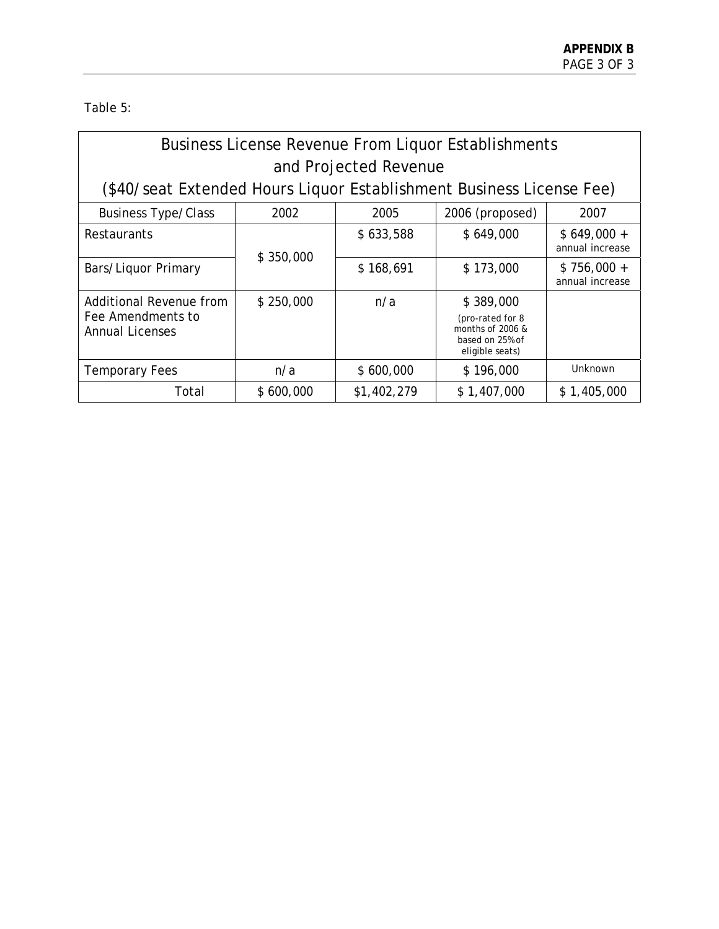Table 5:

| <b>Business License Revenue From Liquor Establishments</b>             |           |                       |                                                                                         |                                 |
|------------------------------------------------------------------------|-----------|-----------------------|-----------------------------------------------------------------------------------------|---------------------------------|
|                                                                        |           | and Projected Revenue |                                                                                         |                                 |
| (\$40/seat Extended Hours Liquor Establishment Business License Fee)   |           |                       |                                                                                         |                                 |
| <b>Business Type/Class</b>                                             | 2002      | 2005                  | 2006 (proposed)                                                                         | 2007                            |
| Restaurants                                                            |           | \$633,588             | \$649,000                                                                               | $$649,000 +$<br>annual increase |
| Bars/Liquor Primary                                                    | \$350,000 | \$168,691             | \$173,000                                                                               | $$756,000 +$<br>annual increase |
| Additional Revenue from<br>Fee Amendments to<br><b>Annual Licenses</b> | \$250,000 | n/a                   | \$389,000<br>(pro-rated for 8<br>months of 2006 &<br>based on 25% of<br>eligible seats) |                                 |
| <b>Temporary Fees</b>                                                  | n/a       | \$600,000             | \$196,000                                                                               | Unknown                         |
| Total                                                                  | \$600,000 | \$1,402,279           | \$1,407,000                                                                             | \$1,405,000                     |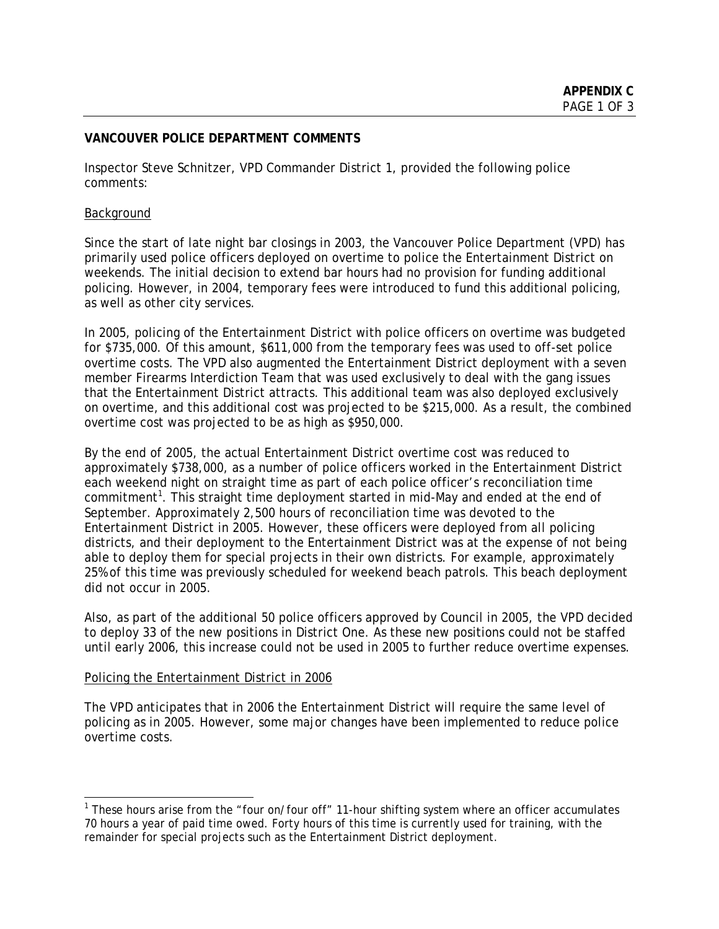# **VANCOUVER POLICE DEPARTMENT COMMENTS**

Inspector Steve Schnitzer, VPD Commander District 1, provided the following police comments:

### Background

Since the start of late night bar closings in 2003, the Vancouver Police Department (VPD) has primarily used police officers deployed on overtime to police the Entertainment District on weekends. The initial decision to extend bar hours had no provision for funding additional policing. However, in 2004, temporary fees were introduced to fund this additional policing, as well as other city services.

In 2005, policing of the Entertainment District with police officers on overtime was budgeted for \$735,000. Of this amount, \$611,000 from the temporary fees was used to off-set police overtime costs. The VPD also augmented the Entertainment District deployment with a seven member Firearms Interdiction Team that was used exclusively to deal with the gang issues that the Entertainment District attracts. This additional team was also deployed exclusively on overtime, and this additional cost was projected to be \$215,000. As a result, the combined overtime cost was projected to be as high as \$950,000.

By the end of 2005, the actual Entertainment District overtime cost was reduced to approximately \$738,000, as a number of police officers worked in the Entertainment District each weekend night on straight time as part of each police officer's reconciliation time commitment<sup>1</sup>. This straight time deployment started in mid-May and ended at the end of September. Approximately 2,500 hours of reconciliation time was devoted to the Entertainment District in 2005. However, these officers were deployed from all policing districts, and their deployment to the Entertainment District was at the expense of not being able to deploy them for special projects in their own districts. For example, approximately 25% of this time was previously scheduled for weekend beach patrols. This beach deployment did not occur in 2005.

Also, as part of the additional 50 police officers approved by Council in 2005, the VPD decided to deploy 33 of the new positions in District One. As these new positions could not be staffed until early 2006, this increase could not be used in 2005 to further reduce overtime expenses.

### Policing the Entertainment District in 2006

 $\overline{a}$ 

The VPD anticipates that in 2006 the Entertainment District will require the same level of policing as in 2005. However, some major changes have been implemented to reduce police overtime costs.

<sup>&</sup>lt;sup>1</sup> These hours arise from the "four on/four off" 11-hour shifting system where an officer accumulates 70 hours a year of paid time owed. Forty hours of this time is currently used for training, with the remainder for special projects such as the Entertainment District deployment.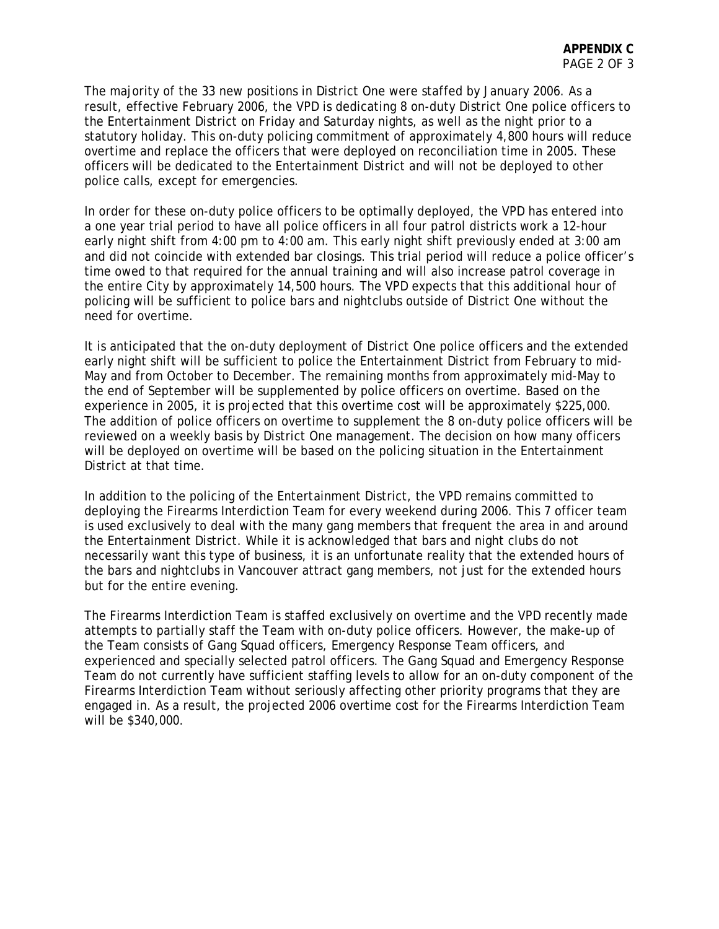The majority of the 33 new positions in District One were staffed by January 2006. As a result, effective February 2006, the VPD is dedicating 8 on-duty District One police officers to the Entertainment District on Friday and Saturday nights, as well as the night prior to a statutory holiday. This on-duty policing commitment of approximately 4,800 hours will reduce overtime and replace the officers that were deployed on reconciliation time in 2005. These officers will be dedicated to the Entertainment District and will not be deployed to other police calls, except for emergencies.

In order for these on-duty police officers to be optimally deployed, the VPD has entered into a one year trial period to have all police officers in all four patrol districts work a 12-hour early night shift from 4:00 pm to 4:00 am. This early night shift previously ended at 3:00 am and did not coincide with extended bar closings. This trial period will reduce a police officer's time owed to that required for the annual training and will also increase patrol coverage in the entire City by approximately 14,500 hours. The VPD expects that this additional hour of policing will be sufficient to police bars and nightclubs outside of District One without the need for overtime.

It is anticipated that the on-duty deployment of District One police officers and the extended early night shift will be sufficient to police the Entertainment District from February to mid-May and from October to December. The remaining months from approximately mid-May to the end of September will be supplemented by police officers on overtime. Based on the experience in 2005, it is projected that this overtime cost will be approximately \$225,000. The addition of police officers on overtime to supplement the 8 on-duty police officers will be reviewed on a weekly basis by District One management. The decision on how many officers will be deployed on overtime will be based on the policing situation in the Entertainment District at that time.

In addition to the policing of the Entertainment District, the VPD remains committed to deploying the Firearms Interdiction Team for every weekend during 2006. This 7 officer team is used exclusively to deal with the many gang members that frequent the area in and around the Entertainment District. While it is acknowledged that bars and night clubs do not necessarily want this type of business, it is an unfortunate reality that the extended hours of the bars and nightclubs in Vancouver attract gang members, not just for the extended hours but for the entire evening.

The Firearms Interdiction Team is staffed exclusively on overtime and the VPD recently made attempts to partially staff the Team with on-duty police officers. However, the make-up of the Team consists of Gang Squad officers, Emergency Response Team officers, and experienced and specially selected patrol officers. The Gang Squad and Emergency Response Team do not currently have sufficient staffing levels to allow for an on-duty component of the Firearms Interdiction Team without seriously affecting other priority programs that they are engaged in. As a result, the projected 2006 overtime cost for the Firearms Interdiction Team will be \$340,000.